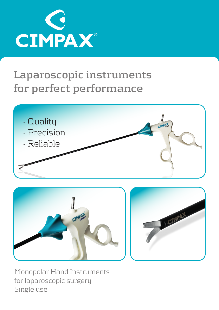

## **Laparoscopic instruments for perfect performance**



Monopolar Hand Instruments for laparoscopic surgery Single use